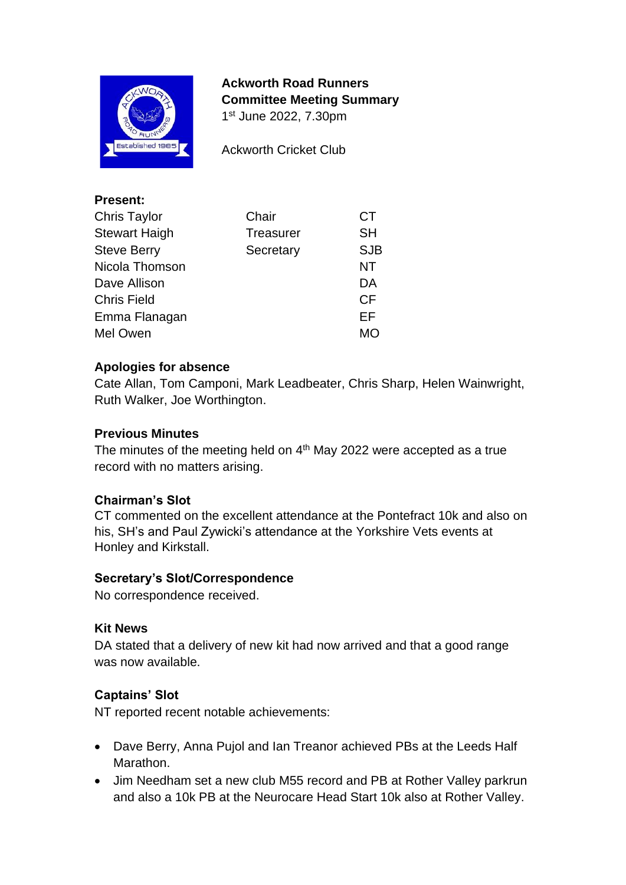

**Present:** 

**Ackworth Road Runners Committee Meeting Summary** 1 st June 2022, 7.30pm

Ackworth Cricket Club

| Present:             |                  |            |
|----------------------|------------------|------------|
| <b>Chris Taylor</b>  | Chair            | <b>CT</b>  |
| <b>Stewart Haigh</b> | <b>Treasurer</b> | <b>SH</b>  |
| <b>Steve Berry</b>   | Secretary        | <b>SJB</b> |
| Nicola Thomson       |                  | NT         |
| Dave Allison         |                  | DA         |
| <b>Chris Field</b>   |                  | <b>CF</b>  |
| Emma Flanagan        |                  | EF         |
| Mel Owen             |                  | <b>MO</b>  |
|                      |                  |            |

#### **Apologies for absence**

Cate Allan, Tom Camponi, Mark Leadbeater, Chris Sharp, Helen Wainwright, Ruth Walker, Joe Worthington.

#### **Previous Minutes**

The minutes of the meeting held on  $4<sup>th</sup>$  May 2022 were accepted as a true record with no matters arising.

#### **Chairman's Slot**

CT commented on the excellent attendance at the Pontefract 10k and also on his, SH's and Paul Zywicki's attendance at the Yorkshire Vets events at Honley and Kirkstall.

#### **Secretary's Slot/Correspondence**

No correspondence received.

#### **Kit News**

DA stated that a delivery of new kit had now arrived and that a good range was now available.

## **Captains' Slot**

NT reported recent notable achievements:

- Dave Berry, Anna Pujol and Ian Treanor achieved PBs at the Leeds Half Marathon.
- Jim Needham set a new club M55 record and PB at Rother Valley parkrun and also a 10k PB at the Neurocare Head Start 10k also at Rother Valley.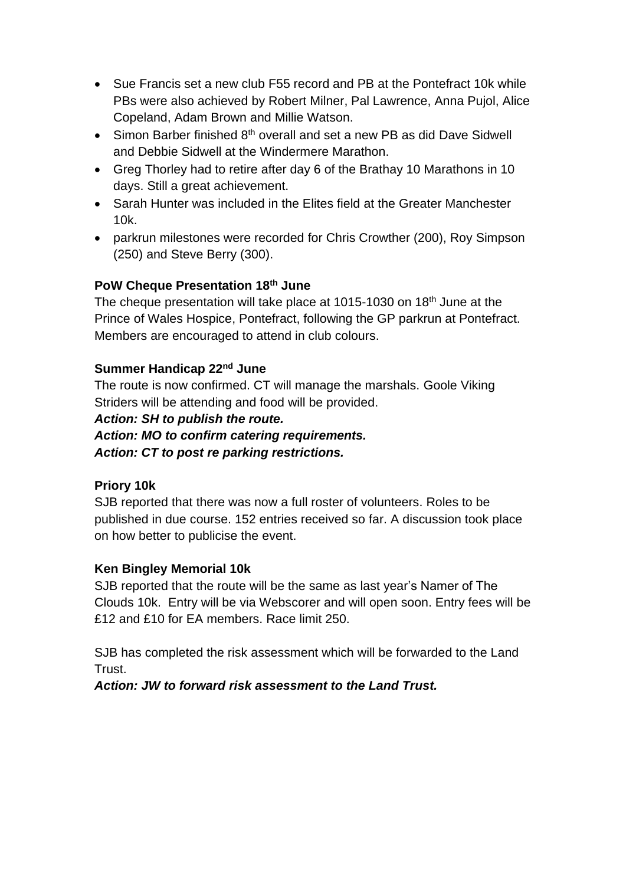- Sue Francis set a new club F55 record and PB at the Pontefract 10k while PBs were also achieved by Robert Milner, Pal Lawrence, Anna Pujol, Alice Copeland, Adam Brown and Millie Watson.
- Simon Barber finished 8<sup>th</sup> overall and set a new PB as did Dave Sidwell and Debbie Sidwell at the Windermere Marathon.
- Greg Thorley had to retire after day 6 of the Brathay 10 Marathons in 10 days. Still a great achievement.
- Sarah Hunter was included in the Elites field at the Greater Manchester 10k.
- parkrun milestones were recorded for Chris Crowther (200), Roy Simpson (250) and Steve Berry (300).

# **PoW Cheque Presentation 18th June**

The cheque presentation will take place at 1015-1030 on 18<sup>th</sup> June at the Prince of Wales Hospice, Pontefract, following the GP parkrun at Pontefract. Members are encouraged to attend in club colours.

## **Summer Handicap 22nd June**

The route is now confirmed. CT will manage the marshals. Goole Viking Striders will be attending and food will be provided.

*Action: SH to publish the route.*

*Action: MO to confirm catering requirements.*

*Action: CT to post re parking restrictions.*

## **Priory 10k**

SJB reported that there was now a full roster of volunteers. Roles to be published in due course. 152 entries received so far. A discussion took place on how better to publicise the event.

## **Ken Bingley Memorial 10k**

SJB reported that the route will be the same as last year's Namer of The Clouds 10k. Entry will be via Webscorer and will open soon. Entry fees will be £12 and £10 for EA members. Race limit 250.

SJB has completed the risk assessment which will be forwarded to the Land Trust.

*Action: JW to forward risk assessment to the Land Trust.*